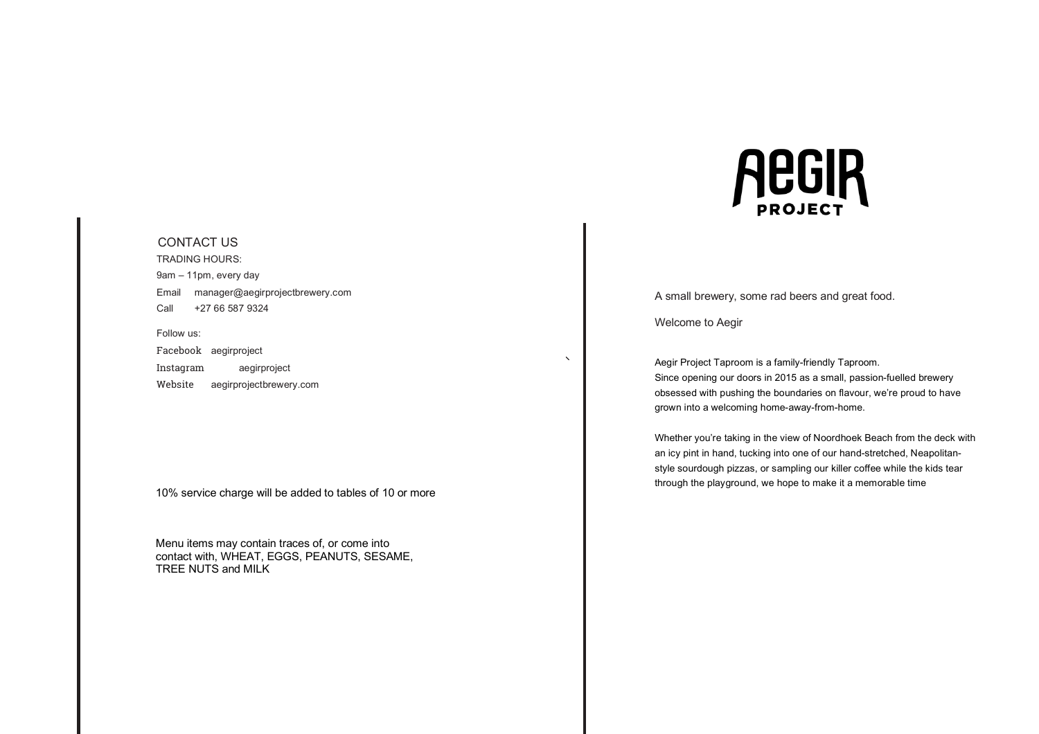### CONTACT US

TRADING HOURS: 9am – 11pm, every day Email manager@aegirprojectbrewery.com Call +27 66 587 9324

Follow us: Facebook aegirproject Instagram aegirproject Website aegirprojectbrewery.com

10% service charge will be added to tables of 10 or more

Menu items may contain traces of, or come into contact with, WHEAT, EGGS, PEANUTS, SESAME, TREE NUTS and MILK



A small brewery, some rad beers and great food.

Welcome to Aegir

Aegir Project Taproom is a family-friendly Taproom. Since opening our doors in 2015 as a small, passion-fuelled brewery obsessed with pushing the boundaries on flavour, we're proud to have grown into a welcoming home-away-from-home.

Whether you're taking in the view of Noordhoek Beach from the deck with an icy pint in hand, tucking into one of our hand-stretched, Neapolitanstyle sourdough pizzas, or sampling our killer coffee while the kids tear through the playground, we hope to make it a memorable time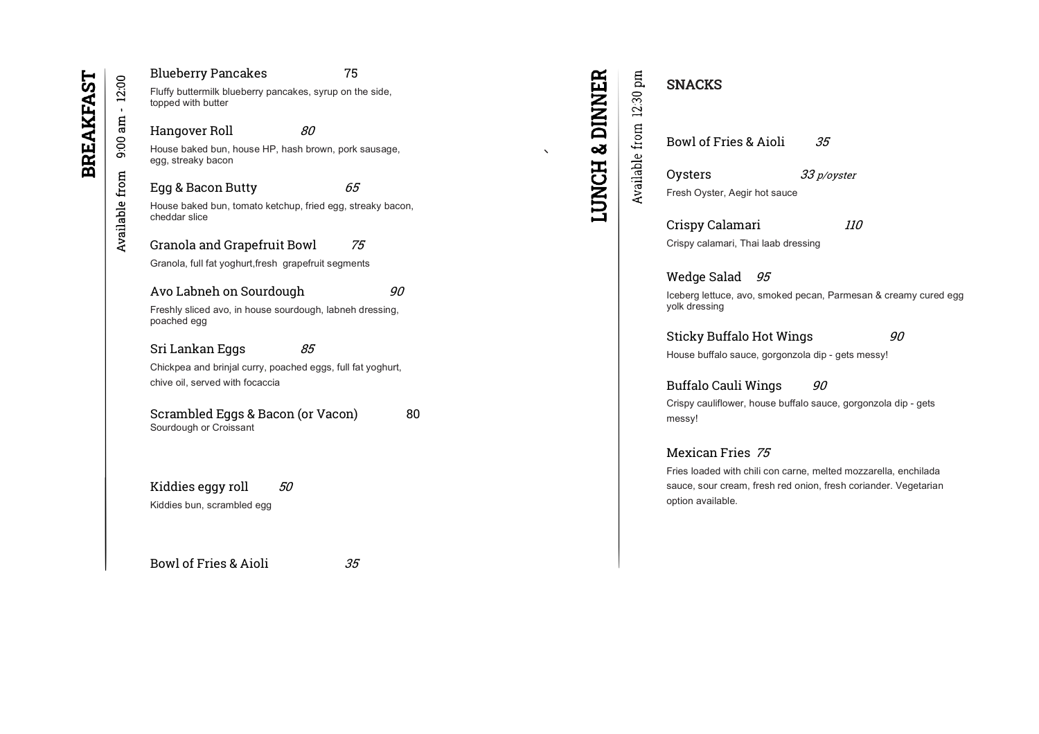# Blueberry Pancakes 75

Fluffy buttermilk blueberry pancakes, syrup on the side, topped with butter

# Hangover Roll 80

House baked bun, house HP, hash brown, pork sausage, egg, streaky bacon

# Egg & Bacon Butty 65

House baked bun, tomato ketchup, fried egg, streaky bacon, cheddar slice

# Granola and Grapefruit Bowl 75

Granola, full fat yoghurt,fresh grapefruit segments

# Avo Labneh on Sourdough 90

Freshly sliced avo, in house sourdough, labneh dressing, poached egg

# Sri Lankan Eggs 85

Chickpea and brinjal curry, poached eggs, full fat yoghurt, chive oil, served with focaccia

Scrambled Eggs & Bacon (or Vacon) 80 Sourdough or Croissant

Kiddies eggy roll  $50$ 

Kiddies bun, scrambled egg

Bowl of Fries & Aioli 35

Available from 12:30 pm

**LUNCH & DINNER** 

Bowl of Fries & Aioli 35

Oysters 33 p/oyster Fresh Oyster, Aegir hot sauce

Crispy Calamari 110 Crispy calamari, Thai laab dressing

Wedge Salad 95 Iceberg lettuce, avo, smoked pecan, Parmesan & creamy cured egg yolk dressing

Sticky Buffalo Hot Wings 90 House buffalo sauce, gorgonzola dip - gets messy!

Buffalo Cauli Wings 90 Crispy cauliflower, house buffalo sauce, gorgonzola dip - gets messy!

# Mexican Fries 75

Fries loaded with chili con carne, melted mozzarella, enchilada sauce, sour cream, fresh red onion, fresh coriander. Vegetarian option available.

SNACKS

 $-12.00$  $9:00$  am Available from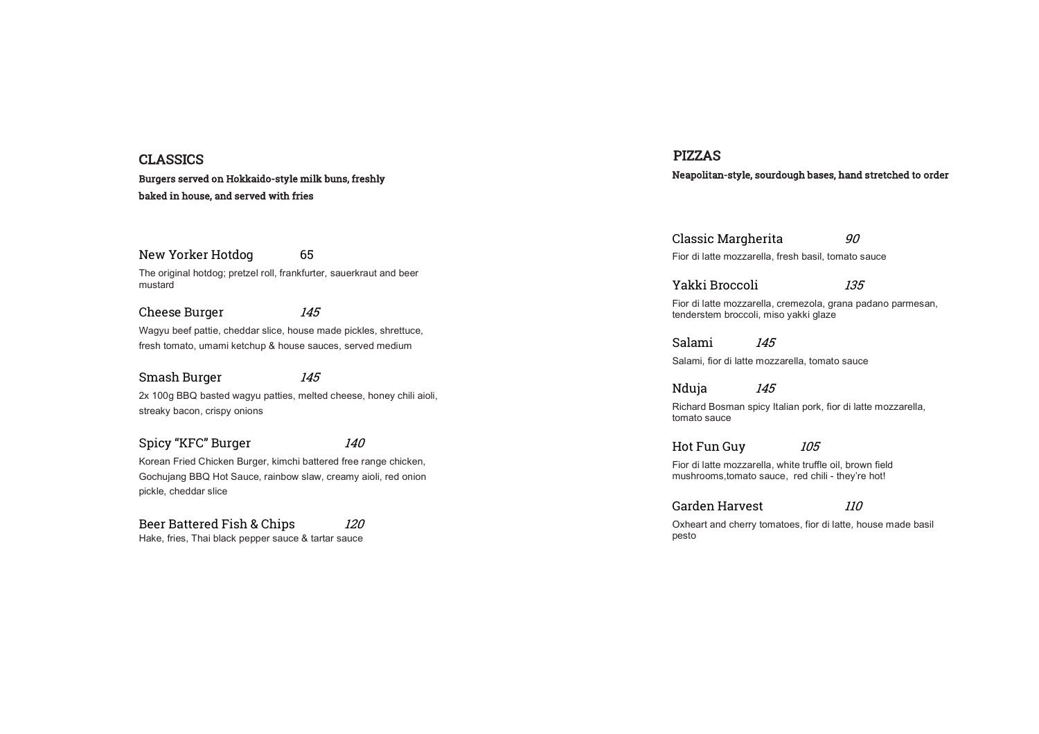# CLASSICS

### Burgers served on Hokkaido-style milk buns, freshly baked in house, and served with fries

New Yorker Hotdog 65 The original hotdog; pretzel roll, frankfurter, sauerkraut and beer

mustard

Cheese Burger 145 Wagyu beef pattie, cheddar slice, house made pickles, shrettuce, fresh tomato, umami ketchup & house sauces, served medium

### Smash Burger 145

2x 100g BBQ basted wagyu patties, melted cheese, honey chili aioli, streaky bacon, crispy onions

Spicy "KFC" Burger 140

Korean Fried Chicken Burger, kimchi battered free range chicken, Gochujang BBQ Hot Sauce, rainbow slaw, creamy aioli, red onion pickle, cheddar slice

Beer Battered Fish & Chips 120 Hake, fries, Thai black pepper sauce & tartar sauce

# PIZZAS Neapolitan-style, sourdough bases, hand stretched to order

Classic Margherita 60 Fior di latte mozzarella, fresh basil, tomato sauce

Fior di latte mozzarella, cremezola, grana padano parmesan, tenderstem broccoli, miso yakki glaze

Salami 145

Salami, fior di latte mozzarella, tomato sauce

Yakki Broccoli 135

Nduja 145

Richard Bosman spicy Italian pork, fior di latte mozzarella, tomato sauce

Hot Fun Guy 105

Fior di latte mozzarella, white truffle oil, brown field mushrooms,tomato sauce, red chili - they're hot!

Garden Harvest 110

Oxheart and cherry tomatoes, fior di latte, house made basil pesto